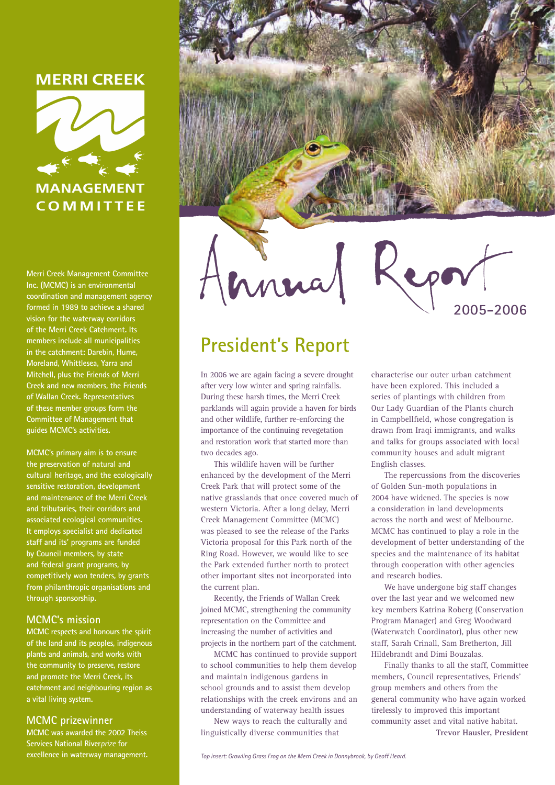### **MERRI CREEK**



**Merri Creek Management Committee Inc. (MCMC) is an environmental coordination and management agency formed in 1989 to achieve a shared vision for the waterway corridors of the Merri Creek Catchment. Its members include all municipalities in the catchment: Darebin, Hume, Moreland, Whittlesea, Yarra and Mitchell, plus the Friends of Merri Creek and new members, the Friends of Wallan Creek. Representatives of these member groups form the Committee of Management that guides MCMC's activities.**

**MCMC's primary aim is to ensure the preservation of natural and cultural heritage, and the ecologically sensitive restoration, development and maintenance of the Merri Creek and tributaries, their corridors and associated ecological communities. It employs specialist and dedicated staff and its' programs are funded by Council members, by state and federal grant programs, by competitively won tenders, by grants from philanthropic organisations and through sponsorship.**

### **MCMC's mission**

**MCMC respects and honours the spirit of the land and its peoples, indigenous plants and animals, and works with the community to preserve, restore and promote the Merri Creek, its catchment and neighbouring region as a vital living system.**

### **MCMC prizewinner**

**MCMC was awarded the 2002 Theiss Services National River***prize* **for excellence in waterway management.**





# **President's Report**

In 2006 we are again facing a severe drought after very low winter and spring rainfalls. During these harsh times, the Merri Creek parklands will again provide a haven for birds and other wildlife, further re-enforcing the importance of the continuing revegetation and restoration work that started more than two decades ago.

This wildlife haven will be further enhanced by the development of the Merri Creek Park that will protect some of the native grasslands that once covered much of western Victoria. After a long delay, Merri Creek Management Committee (MCMC) was pleased to see the release of the Parks Victoria proposal for this Park north of the Ring Road. However, we would like to see the Park extended further north to protect other important sites not incorporated into the current plan.

Recently, the Friends of Wallan Creek joined MCMC, strengthening the community representation on the Committee and increasing the number of activities and projects in the northern part of the catchment.

MCMC has continued to provide support to school communities to help them develop and maintain indigenous gardens in school grounds and to assist them develop relationships with the creek environs and an understanding of waterway health issues

New ways to reach the culturally and linguistically diverse communities that



**2005-2006**

The repercussions from the discoveries of Golden Sun-moth populations in 2004 have widened. The species is now a consideration in land developments across the north and west of Melbourne. MCMC has continued to play a role in the development of better understanding of the species and the maintenance of its habitat through cooperation with other agencies and research bodies.

We have undergone big staff changes over the last year and we welcomed new key members Katrina Roberg (Conservation Program Manager) and Greg Woodward (Waterwatch Coordinator), plus other new staff, Sarah Crinall, Sam Bretherton, Jill Hildebrandt and Dimi Bouzalas.

Finally thanks to all the staff, Committee members, Council representatives, Friends' group members and others from the general community who have again worked tirelessly to improved this important community asset and vital native habitat. **Trevor Hausler, President**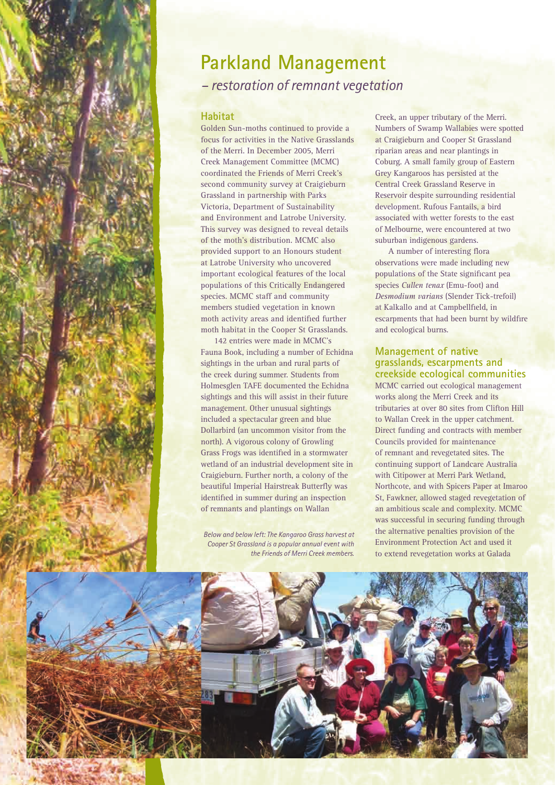

## **Parkland Management**  *– restoration of remnant vegetation*

### **Habitat**

Golden Sun-moths continued to provide a focus for activities in the Native Grasslands of the Merri. In December 2005, Merri Creek Management Committee (MCMC) coordinated the Friends of Merri Creek's second community survey at Craigieburn Grassland in partnership with Parks Victoria, Department of Sustainability and Environment and Latrobe University. This survey was designed to reveal details of the moth's distribution. MCMC also provided support to an Honours student at Latrobe University who uncovered important ecological features of the local populations of this Critically Endangered species. MCMC staff and community members studied vegetation in known moth activity areas and identified further moth habitat in the Cooper St Grasslands.

142 entries were made in MCMC's Fauna Book, including a number of Echidna sightings in the urban and rural parts of the creek during summer. Students from Holmesglen TAFE documented the Echidna sightings and this will assist in their future management. Other unusual sightings included a spectacular green and blue Dollarbird (an uncommon visitor from the north). A vigorous colony of Growling Grass Frogs was identified in a stormwater wetland of an industrial development site in Craigieburn. Further north, a colony of the beautiful Imperial Hairstreak Butterfly was identified in summer during an inspection of remnants and plantings on Wallan

*Below and below left: The Kangaroo Grass harvest at Cooper St Grassland is a popular annual event with the Friends of Merri Creek members.*

Creek, an upper tributary of the Merri. Numbers of Swamp Wallabies were spotted at Craigieburn and Cooper St Grassland riparian areas and near plantings in Coburg. A small family group of Eastern Grey Kangaroos has persisted at the Central Creek Grassland Reserve in Reservoir despite surrounding residential development. Rufous Fantails, a bird associated with wetter forests to the east of Melbourne, were encountered at two suburban indigenous gardens.

A number of interesting flora observations were made including new populations of the State significant pea species *Cullen tenax* (Emu-foot) and *Desmodium varians* (Slender Tick-trefoil) at Kalkallo and at Campbellfield, in escarpments that had been burnt by wildfire and ecological burns.

### **Management of native grasslands, escarpments and creekside ecological communities**

MCMC carried out ecological management works along the Merri Creek and its tributaries at over 80 sites from Clifton Hill to Wallan Creek in the upper catchment. Direct funding and contracts with member Councils provided for maintenance of remnant and revegetated sites. The continuing support of Landcare Australia with Citipower at Merri Park Wetland, Northcote, and with Spicers Paper at Imaroo St, Fawkner, allowed staged revegetation of an ambitious scale and complexity. MCMC was successful in securing funding through the alternative penalties provision of the Environment Protection Act and used it to extend revegetation works at Galada

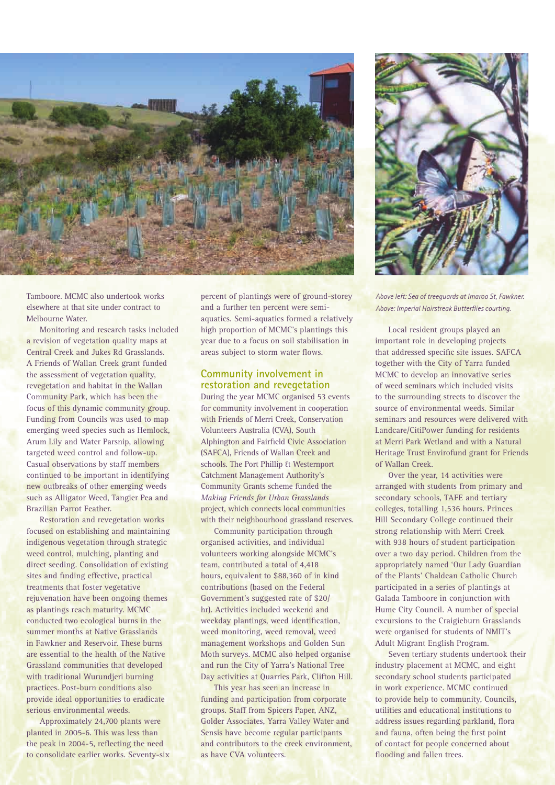

Tamboore. MCMC also undertook works elsewhere at that site under contract to Melbourne Water.

Monitoring and research tasks included a revision of vegetation quality maps at Central Creek and Jukes Rd Grasslands. A Friends of Wallan Creek grant funded the assessment of vegetation quality, revegetation and habitat in the Wallan Community Park, which has been the focus of this dynamic community group. Funding from Councils was used to map emerging weed species such as Hemlock, Arum Lily and Water Parsnip, allowing targeted weed control and follow-up. Casual observations by staff members continued to be important in identifying new outbreaks of other emerging weeds such as Alligator Weed, Tangier Pea and Brazilian Parrot Feather.

Restoration and revegetation works focused on establishing and maintaining indigenous vegetation through strategic weed control, mulching, planting and direct seeding. Consolidation of existing sites and finding effective, practical treatments that foster vegetative rejuvenation have been ongoing themes as plantings reach maturity. MCMC conducted two ecological burns in the summer months at Native Grasslands in Fawkner and Reservoir. These burns are essential to the health of the Native Grassland communities that developed with traditional Wurundjeri burning practices. Post-burn conditions also provide ideal opportunities to eradicate serious environmental weeds.

Approximately 24,700 plants were planted in 2005-6. This was less than the peak in 2004-5, reflecting the need to consolidate earlier works. Seventy-six

percent of plantings were of ground-storey and a further ten percent were semiaquatics. Semi-aquatics formed a relatively high proportion of MCMC's plantings this year due to a focus on soil stabilisation in areas subject to storm water flows.

### **Community involvement in restoration and revegetation**

During the year MCMC organised 53 events for community involvement in cooperation with Friends of Merri Creek, Conservation Volunteers Australia (CVA), South Alphington and Fairfield Civic Association (SAFCA), Friends of Wallan Creek and schools. The Port Phillip & Westernport Catchment Management Authority's Community Grants scheme funded the *Making Friends for Urban Grasslands* project, which connects local communities with their neighbourhood grassland reserves.

Community participation through organised activities, and individual volunteers working alongside MCMC's team, contributed a total of 4,418 hours, equivalent to \$88,360 of in kind contributions (based on the Federal Government's suggested rate of \$20/ hr). Activities included weekend and weekday plantings, weed identification, weed monitoring, weed removal, weed management workshops and Golden Sun Moth surveys. MCMC also helped organise and run the City of Yarra's National Tree Day activities at Quarries Park, Clifton Hill.

This year has seen an increase in funding and participation from corporate groups. Staff from Spicers Paper, ANZ, Golder Associates, Yarra Valley Water and Sensis have become regular participants and contributors to the creek environment, as have CVA volunteers.



*Above left: Sea of treeguards at Imaroo St, Fawkner. Above: Imperial Hairstreak Butterflies courting.*

Local resident groups played an important role in developing projects that addressed specific site issues. SAFCA together with the City of Yarra funded MCMC to develop an innovative series of weed seminars which included visits to the surrounding streets to discover the source of environmental weeds. Similar seminars and resources were delivered with Landcare/CitiPower funding for residents at Merri Park Wetland and with a Natural Heritage Trust Envirofund grant for Friends of Wallan Creek.

Over the year, 14 activities were arranged with students from primary and secondary schools, TAFE and tertiary colleges, totalling 1,536 hours. Princes Hill Secondary College continued their strong relationship with Merri Creek with 938 hours of student participation over a two day period. Children from the appropriately named 'Our Lady Guardian of the Plants' Chaldean Catholic Church participated in a series of plantings at Galada Tamboore in conjunction with Hume City Council. A number of special excursions to the Craigieburn Grasslands were organised for students of NMIT's Adult Migrant English Program.

Seven tertiary students undertook their industry placement at MCMC, and eight secondary school students participated in work experience. MCMC continued to provide help to community, Councils, utilities and educational institutions to address issues regarding parkland, flora and fauna, often being the first point of contact for people concerned about flooding and fallen trees.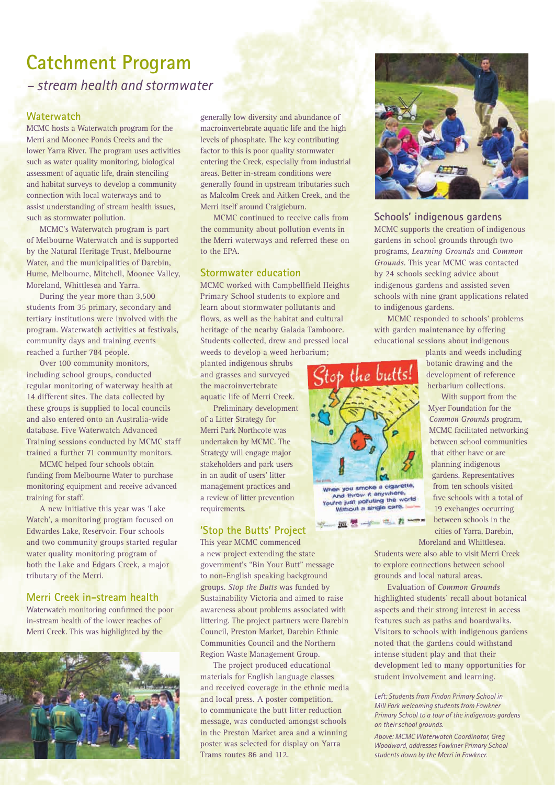**Catchment Program**  *– stream health and stormwater*

### **Waterwatch**

MCMC hosts a Waterwatch program for the Merri and Moonee Ponds Creeks and the lower Yarra River. The program uses activities such as water quality monitoring, biological assessment of aquatic life, drain stenciling and habitat surveys to develop a community connection with local waterways and to assist understanding of stream health issues, such as stormwater pollution.

MCMC's Waterwatch program is part of Melbourne Waterwatch and is supported by the Natural Heritage Trust, Melbourne Water, and the municipalities of Darebin, Hume, Melbourne, Mitchell, Moonee Valley, Moreland, Whittlesea and Yarra.

During the year more than 3,500 students from 35 primary, secondary and tertiary institutions were involved with the program. Waterwatch activities at festivals, community days and training events reached a further 784 people.

Over 100 community monitors, including school groups, conducted regular monitoring of waterway health at 14 different sites. The data collected by these groups is supplied to local councils and also entered onto an Australia-wide database. Five Waterwatch Advanced Training sessions conducted by MCMC staff trained a further 71 community monitors.

MCMC helped four schools obtain funding from Melbourne Water to purchase monitoring equipment and receive advanced training for staff.

A new initiative this year was 'Lake Watch', a monitoring program focused on Edwardes Lake, Reservoir. Four schools and two community groups started regular water quality monitoring program of both the Lake and Edgars Creek, a major tributary of the Merri.

### **Merri Creek in-stream health**

Waterwatch monitoring confirmed the poor in-stream health of the lower reaches of Merri Creek. This was highlighted by the



generally low diversity and abundance of macroinvertebrate aquatic life and the high levels of phosphate. The key contributing factor to this is poor quality stormwater entering the Creek, especially from industrial areas. Better in-stream conditions were generally found in upstream tributaries such as Malcolm Creek and Aitken Creek, and the Merri itself around Craigieburn.

MCMC continued to receive calls from the community about pollution events in the Merri waterways and referred these on to the EPA.

### **Stormwater education**

MCMC worked with Campbellfield Heights Primary School students to explore and learn about stormwater pollutants and flows, as well as the habitat and cultural heritage of the nearby Galada Tamboore. Students collected, drew and pressed local weeds to develop a weed herbarium;

planted indigenous shrubs and grasses and surveyed the macroinvertebrate aquatic life of Merri Creek.

Preliminary development of a Litter Strategy for Merri Park Northcote was undertaken by MCMC. The Strategy will engage major stakeholders and park users in an audit of users' litter management practices and a review of litter prevention requirements.

### **'Stop the Butts' Project**

This year MCMC commenced a new project extending the state government's "Bin Your Butt" message to non-English speaking background groups. *Stop the Butts* was funded by Sustainability Victoria and aimed to raise awareness about problems associated with littering. The project partners were Darebin Council, Preston Market, Darebin Ethnic Communities Council and the Northern Region Waste Management Group.

The project produced educational materials for English language classes and received coverage in the ethnic media and local press. A poster competition, to communicate the butt litter reduction message, was conducted amongst schools in the Preston Market area and a winning poster was selected for display on Yarra Trams routes 86 and 112.



### **Schools' indigenous gardens**

MCMC supports the creation of indigenous gardens in school grounds through two programs, *Learning Grounds* and *Common Grounds*. This year MCMC was contacted by 24 schools seeking advice about indigenous gardens and assisted seven schools with nine grant applications related to indigenous gardens.

MCMC responded to schools' problems with garden maintenance by offering educational sessions about indigenous

> plants and weeds including botanic drawing and the development of reference herbarium collections.

With support from the Myer Foundation for the *Common Grounds* program, MCMC facilitated networking between school communities that either have or are planning indigenous gardens. Representatives from ten schools visited five schools with a total of 19 exchanges occurring between schools in the cities of Yarra, Darebin, Moreland and Whittlesea.

Students were also able to visit Merri Creek to explore connections between school grounds and local natural areas.

Evaluation of *Common Grounds* highlighted students' recall about botanical aspects and their strong interest in access features such as paths and boardwalks. Visitors to schools with indigenous gardens noted that the gardens could withstand intense student play and that their development led to many opportunities for student involvement and learning.

#### *Left: Students from Findon Primary School in Mill Park welcoming students from Fawkner Primary School to a tour of the indigenous gardens on their school grounds.*

*Above: MCMC Waterwatch Coordinator, Greg Woodward, addresses Fawkner Primary School students down by the Merri in Fawkner.*



en you smoke a cigarette. And throw it anywhere,<br>when just polluting the world<br>Without a single care.

 $n$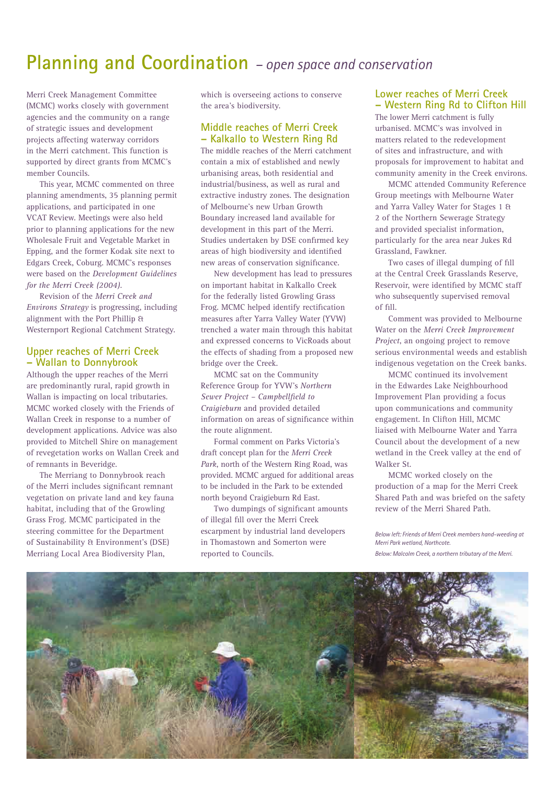## **Planning and Coordination** *– open space and conservation*

Merri Creek Management Committee (MCMC) works closely with government agencies and the community on a range of strategic issues and development projects affecting waterway corridors in the Merri catchment. This function is supported by direct grants from MCMC's member Councils.

This year, MCMC commented on three planning amendments, 35 planning permit applications, and participated in one VCAT Review. Meetings were also held prior to planning applications for the new Wholesale Fruit and Vegetable Market in Epping, and the former Kodak site next to Edgars Creek, Coburg. MCMC's responses were based on the *Development Guidelines for the Merri Creek (2004)*.

Revision of the *Merri Creek and Environs Strategy* is progressing, including alignment with the Port Phillip & Westernport Regional Catchment Strategy.

### **Upper reaches of Merri Creek – Wallan to Donnybrook**

Although the upper reaches of the Merri are predominantly rural, rapid growth in Wallan is impacting on local tributaries. MCMC worked closely with the Friends of Wallan Creek in response to a number of development applications. Advice was also provided to Mitchell Shire on management of revegetation works on Wallan Creek and of remnants in Beveridge.

The Merriang to Donnybrook reach of the Merri includes significant remnant vegetation on private land and key fauna habitat, including that of the Growling Grass Frog. MCMC participated in the steering committee for the Department of Sustainability & Environment's (DSE) Merriang Local Area Biodiversity Plan,

which is overseeing actions to conserve the area's biodiversity.

### **Middle reaches of Merri Creek – Kalkallo to Western Ring Rd**

The middle reaches of the Merri catchment contain a mix of established and newly urbanising areas, both residential and industrial/business, as well as rural and extractive industry zones. The designation of Melbourne's new Urban Growth Boundary increased land available for development in this part of the Merri. Studies undertaken by DSE confirmed key areas of high biodiversity and identified new areas of conservation significance.

New development has lead to pressures on important habitat in Kalkallo Creek for the federally listed Growling Grass Frog. MCMC helped identify rectification measures after Yarra Valley Water (YVW) trenched a water main through this habitat and expressed concerns to VicRoads about the effects of shading from a proposed new bridge over the Creek.

MCMC sat on the Community Reference Group for YVW's *Northern Sewer Project – Campbellfield to Craigieburn* and provided detailed information on areas of significance within the route alignment.

Formal comment on Parks Victoria's draft concept plan for the *Merri Creek Park*, north of the Western Ring Road, was provided. MCMC argued for additional areas to be included in the Park to be extended north beyond Craigieburn Rd East.

Two dumpings of significant amounts of illegal fill over the Merri Creek escarpment by industrial land developers in Thomastown and Somerton were reported to Councils.

### **Lower reaches of Merri Creek – Western Ring Rd to Clifton Hill**

The lower Merri catchment is fully urbanised. MCMC's was involved in matters related to the redevelopment of sites and infrastructure, and with proposals for improvement to habitat and community amenity in the Creek environs.

MCMC attended Community Reference Group meetings with Melbourne Water and Yarra Valley Water for Stages 1 & 2 of the Northern Sewerage Strategy and provided specialist information, particularly for the area near Jukes Rd Grassland, Fawkner.

Two cases of illegal dumping of fill at the Central Creek Grasslands Reserve, Reservoir, were identified by MCMC staff who subsequently supervised removal of fill.

Comment was provided to Melbourne Water on the *Merri Creek Improvement Project*, an ongoing project to remove serious environmental weeds and establish indigenous vegetation on the Creek banks.

MCMC continued its involvement in the Edwardes Lake Neighbourhood Improvement Plan providing a focus upon communications and community engagement. In Clifton Hill, MCMC liaised with Melbourne Water and Yarra Council about the development of a new wetland in the Creek valley at the end of Walker St.

MCMC worked closely on the production of a map for the Merri Creek Shared Path and was briefed on the safety review of the Merri Shared Path.

*Below left: Friends of Merri Creek members hand-weeding at Merri Park wetland, Northcote.*

*Below: Malcolm Creek, a northern tributary of the Merri.*